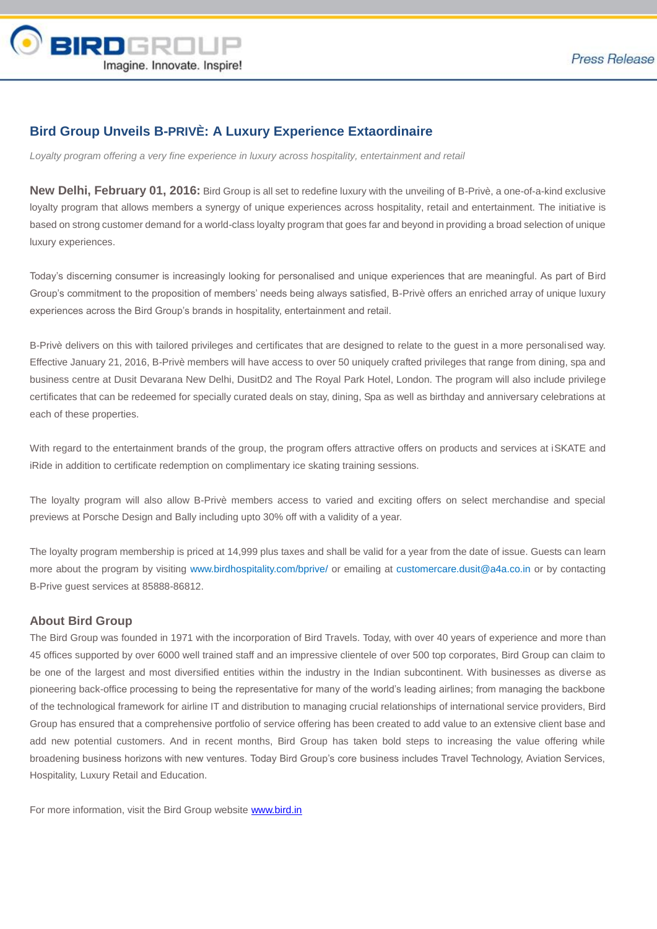

## **Bird Group Unveils B-PRIVÈ: A Luxury Experience Extaordinaire**

Loyalty program offering a very fine experience in luxury across hospitality, entertainment and retail

**New Delhi, February 01, 2016:** Bird Group is all set to redefine luxury with the unveiling of B-Privè, a one-of-a-kind exclusive loyalty program that allows members a synergy of unique experiences across hospitality, retail and entertainment. The initiative is based on strong customer demand for a world-class loyalty program that goes far and beyond in providing a broad selection of unique luxury experiences.

Today's discerning consumer is increasingly looking for personalised and unique experiences that are meaningful. As part of Bird Group's commitment to the proposition of members' needs being always satisfied, B-Privè offers an enriched array of unique luxury experiences across the Bird Group's brands in hospitality, entertainment and retail.

B-Privè delivers on this with tailored privileges and certificates that are designed to relate to the guest in a more personalised way. Effective January 21, 2016, B-Privè members will have access to over 50 uniquely crafted privileges that range from dining, spa and business centre at Dusit Devarana New Delhi, DusitD2 and The Royal Park Hotel, London. The program will also include privilege certificates that can be redeemed for specially curated deals on stay, dining, Spa as well as birthday and anniversary celebrations at each of these properties.

With regard to the entertainment brands of the group, the program offers attractive offers on products and services at iSKATE and iRide in addition to certificate redemption on complimentary ice skating training sessions.

The loyalty program will also allow B-Privè members access to varied and exciting offers on select merchandise and special previews at Porsche Design and Bally including upto 30% off with a validity of a year.

The loyalty program membership is priced at 14,999 plus taxes and shall be valid for a year from the date of issue. Guests can learn more about the program by visiting www.birdhospitality.com/bprive/ or emailing at customercare.dusit@a4a.co.in or by contacting B-Prive guest services at 85888-86812.

## **About Bird Group**

The Bird Group was founded in 1971 with the incorporation of Bird Travels. Today, with over 40 years of experience and more than 45 offices supported by over 6000 well trained staff and an impressive clientele of over 500 top corporates, Bird Group can claim to be one of the largest and most diversified entities within the industry in the Indian subcontinent. With businesses as diverse as pioneering back-office processing to being the representative for many of the world's leading airlines; from managing the backbone of the technological framework for airline IT and distribution to managing crucial relationships of international service providers, Bird Group has ensured that a comprehensive portfolio of service offering has been created to add value to an extensive client base and add new potential customers. And in recent months, Bird Group has taken bold steps to increasing the value offering while broadening business horizons with new ventures. Today Bird Group's core business includes Travel Technology, Aviation Services, Hospitality, Luxury Retail and Education.

For more information, visit the Bird Group website [www.bird.in](http://www.bird.in/)